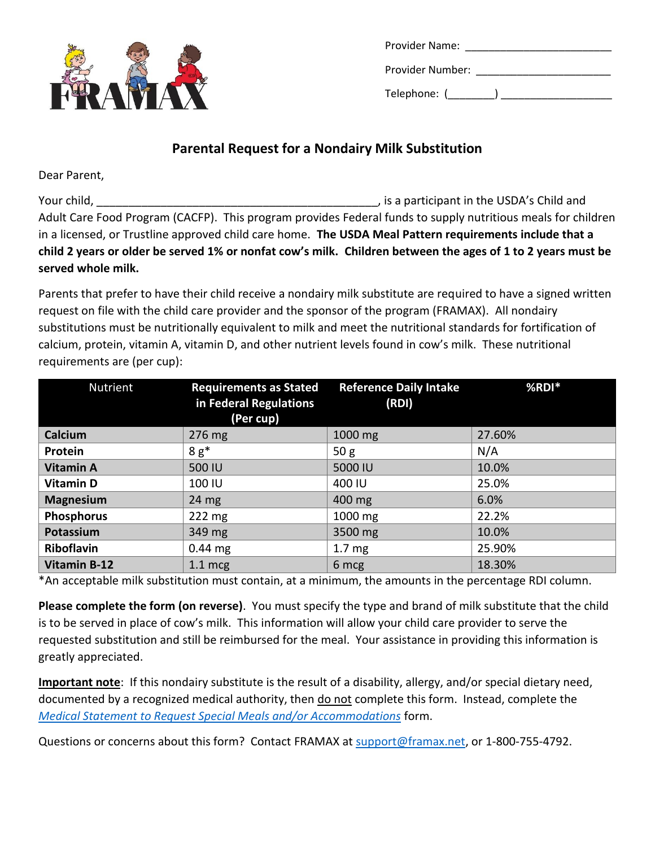

| Provider Name:   |  |
|------------------|--|
| Provider Number: |  |
| Telephone: (     |  |

## **Parental Request for a Nondairy Milk Substitution**

Dear Parent,

Your child, The USDA's Child and The USDA's Child and The USDA's Child and Adult Care Food Program (CACFP). This program provides Federal funds to supply nutritious meals for children in a licensed, or Trustline approved child care home. **The USDA Meal Pattern requirements include that a child 2 years or older be served 1% or nonfat cow's milk. Children between the ages of 1 to 2 years must be served whole milk.**

Parents that prefer to have their child receive a nondairy milk substitute are required to have a signed written request on file with the child care provider and the sponsor of the program (FRAMAX). All nondairy substitutions must be nutritionally equivalent to milk and meet the nutritional standards for fortification of calcium, protein, vitamin A, vitamin D, and other nutrient levels found in cow's milk. These nutritional requirements are (per cup):

| Nutrient            | <b>Requirements as Stated</b><br>in Federal Regulations<br>(Per cup) | <b>Reference Daily Intake</b><br>(RDI) | %RDI*  |
|---------------------|----------------------------------------------------------------------|----------------------------------------|--------|
| Calcium             | 276 mg                                                               | 1000 mg                                | 27.60% |
| Protein             | $8g^*$                                                               | 50 <sub>g</sub>                        | N/A    |
| <b>Vitamin A</b>    | 500 IU                                                               | 5000 IU                                | 10.0%  |
| <b>Vitamin D</b>    | 100 IU                                                               | 400 IU                                 | 25.0%  |
| <b>Magnesium</b>    | $24 \text{ mg}$                                                      | 400 mg                                 | 6.0%   |
| <b>Phosphorus</b>   | $222 \text{ mg}$                                                     | 1000 mg                                | 22.2%  |
| Potassium           | 349 mg                                                               | 3500 mg                                | 10.0%  |
| <b>Riboflavin</b>   | $0.44$ mg                                                            | 1.7 <sub>mg</sub>                      | 25.90% |
| <b>Vitamin B-12</b> | $1.1$ mcg                                                            | 6 mcg                                  | 18.30% |

\*An acceptable milk substitution must contain, at a minimum, the amounts in the percentage RDI column.

**Please complete the form (on reverse)**. You must specify the type and brand of milk substitute that the child is to be served in place of cow's milk. This information will allow your child care provider to serve the requested substitution and still be reimbursed for the meal. Your assistance in providing this information is greatly appreciated.

**Important note**: If this nondairy substitute is the result of a disability, allergy, and/or special dietary need, documented by a recognized medical authority, then do not complete this form. Instead, complete the *[Medical Statement to Request Special Meals and/or Accommodations](http://www.framax.net/uploads/1/1/5/0/115022477/medical_statement.pdf)* form.

Questions or concerns about this form? Contact FRAMAX at [support@framax.net,](mailto:support@framax.net) or 1-800-755-4792.